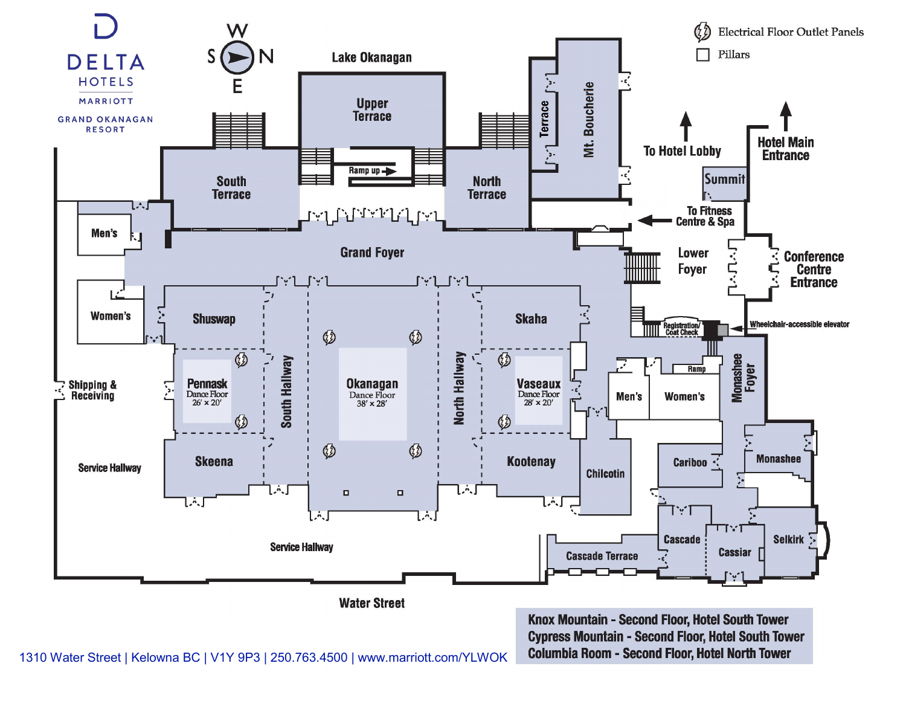